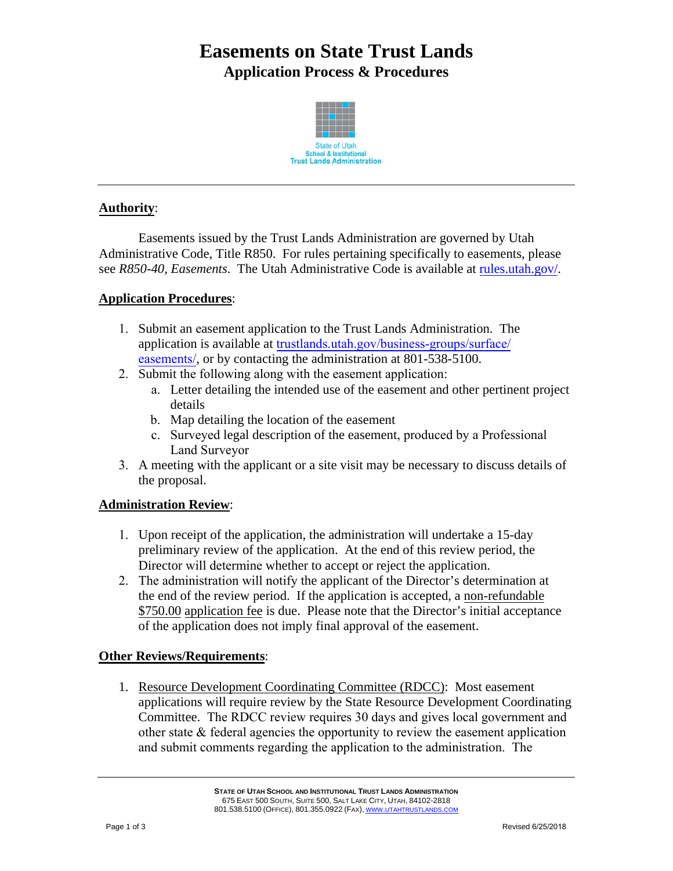# **Easements on State Trust Lands Application Process & Procedures**



## **Authority**:

Easements issued by the Trust Lands Administration are governed by Utah Administrative Code, Title R850. For rules pertaining specifically to easements, please see *R850-40, Easements*. The Utah Administrative Code is available at rules.utah.gov/.

#### **Application Procedures**:

- 1. Submit an easement application to the Trust Lands Administration. The application is available at trustlands.utah.gov/business-groups/surface/ easements/, or by contacting the administration at 801-538-5100.
- 2. Submit the following along with the easement application:
	- a. Letter detailing the intended use of the easement and other pertinent project details
	- b. Map detailing the location of the easement
	- c. Surveyed legal description of the easement, produced by a Professional Land Surveyor
- 3. A meeting with the applicant or a site visit may be necessary to discuss details of the proposal.

#### **Administration Review**:

- 1. Upon receipt of the application, the administration will undertake a 15-day preliminary review of the application. At the end of this review period, the Director will determine whether to accept or reject the application.
- 2. The administration will notify the applicant of the Director's determination at the end of the review period. If the application is accepted, a non-refundable \$750.00 application fee is due. Please note that the Director's initial acceptance of the application does not imply final approval of the easement.

#### **Other Reviews/Requirements**:

1. Resource Development Coordinating Committee (RDCC): Most easement applications will require review by the State Resource Development Coordinating Committee. The RDCC review requires 30 days and gives local government and other state & federal agencies the opportunity to review the easement application and submit comments regarding the application to the administration. The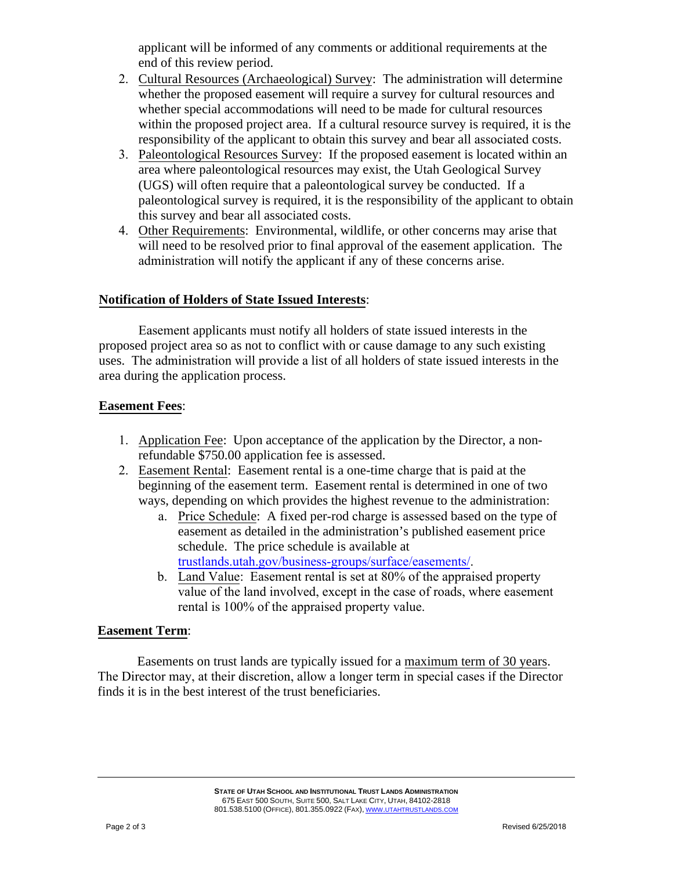applicant will be informed of any comments or additional requirements at the end of this review period.

- 2. Cultural Resources (Archaeological) Survey: The administration will determine whether the proposed easement will require a survey for cultural resources and whether special accommodations will need to be made for cultural resources within the proposed project area. If a cultural resource survey is required, it is the responsibility of the applicant to obtain this survey and bear all associated costs.
- 3. Paleontological Resources Survey: If the proposed easement is located within an area where paleontological resources may exist, the Utah Geological Survey (UGS) will often require that a paleontological survey be conducted. If a paleontological survey is required, it is the responsibility of the applicant to obtain this survey and bear all associated costs.
- 4. Other Requirements: Environmental, wildlife, or other concerns may arise that will need to be resolved prior to final approval of the easement application. The administration will notify the applicant if any of these concerns arise.

## **Notification of Holders of State Issued Interests**:

Easement applicants must notify all holders of state issued interests in the proposed project area so as not to conflict with or cause damage to any such existing uses. The administration will provide a list of all holders of state issued interests in the area during the application process.

## **Easement Fees**:

- 1. Application Fee: Upon acceptance of the application by the Director, a nonrefundable \$750.00 application fee is assessed.
- 2. Easement Rental: Easement rental is a one-time charge that is paid at the beginning of the easement term. Easement rental is determined in one of two ways, depending on which provides the highest revenue to the administration:
	- a. Price Schedule: A fixed per-rod charge is assessed based on the type of easement as detailed in the administration's published easement price schedule. The price schedule is available at trustlands.utah.gov/business-groups/surface/easements/.
	- b. Land Value: Easement rental is set at 80% of the appraised property value of the land involved, except in the case of roads, where easement rental is 100% of the appraised property value.

#### **Easement Term**:

Easements on trust lands are typically issued for a maximum term of 30 years. The Director may, at their discretion, allow a longer term in special cases if the Director finds it is in the best interest of the trust beneficiaries.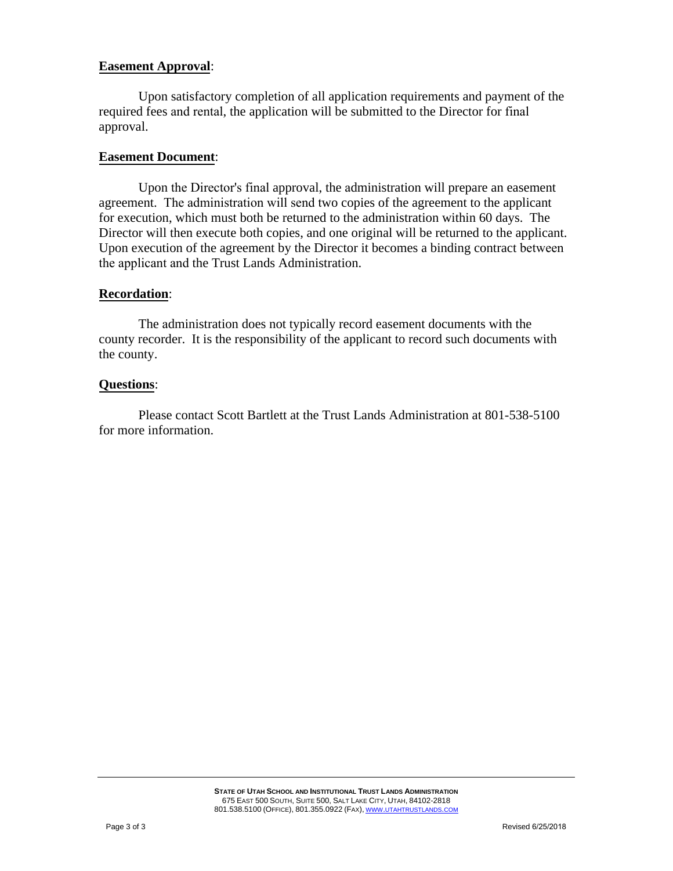#### **Easement Approval**:

Upon satisfactory completion of all application requirements and payment of the required fees and rental, the application will be submitted to the Director for final approval.

#### **Easement Document**:

Upon the Director's final approval, the administration will prepare an easement agreement. The administration will send two copies of the agreement to the applicant for execution, which must both be returned to the administration within 60 days. The Director will then execute both copies, and one original will be returned to the applicant. Upon execution of the agreement by the Director it becomes a binding contract between the applicant and the Trust Lands Administration.

#### **Recordation**:

The administration does not typically record easement documents with the county recorder. It is the responsibility of the applicant to record such documents with the county.

## **Questions**:

Please contact Scott Bartlett at the Trust Lands Administration at 801-538-5100 for more information.